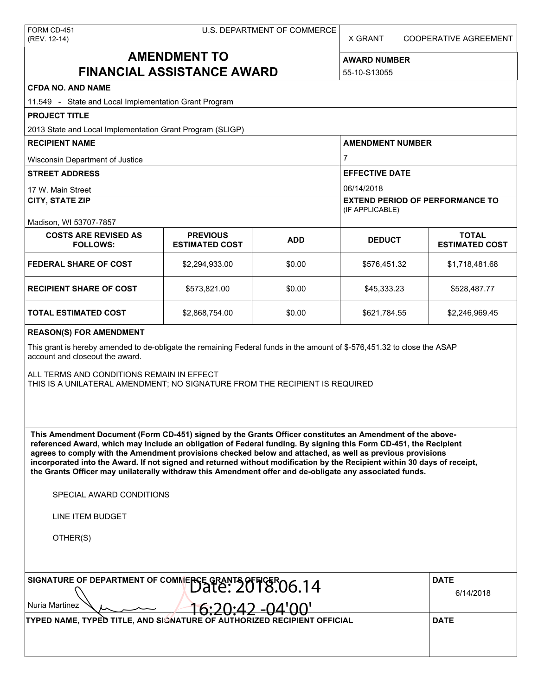X GRANT COOPERATIVE AGREEMENT

# **AMENDMENT TO FINANCIAL ASSISTANCE AWARD**

**AWARD NUMBER** 55-10-S13055

## **CFDA NO. AND NAME**

| <b>CFDA NO. AND NAME</b>                                                                                                                                                                                                                                                                                                                                                                                                                                                                                                                                                                                      |                                          |             |                                                                         |                                       |  |  |
|---------------------------------------------------------------------------------------------------------------------------------------------------------------------------------------------------------------------------------------------------------------------------------------------------------------------------------------------------------------------------------------------------------------------------------------------------------------------------------------------------------------------------------------------------------------------------------------------------------------|------------------------------------------|-------------|-------------------------------------------------------------------------|---------------------------------------|--|--|
| 11.549 - State and Local Implementation Grant Program                                                                                                                                                                                                                                                                                                                                                                                                                                                                                                                                                         |                                          |             |                                                                         |                                       |  |  |
| <b>PROJECT TITLE</b>                                                                                                                                                                                                                                                                                                                                                                                                                                                                                                                                                                                          |                                          |             |                                                                         |                                       |  |  |
| 2013 State and Local Implementation Grant Program (SLIGP)<br><b>RECIPIENT NAME</b>                                                                                                                                                                                                                                                                                                                                                                                                                                                                                                                            |                                          |             | <b>AMENDMENT NUMBER</b>                                                 |                                       |  |  |
|                                                                                                                                                                                                                                                                                                                                                                                                                                                                                                                                                                                                               |                                          |             |                                                                         |                                       |  |  |
| Wisconsin Department of Justice                                                                                                                                                                                                                                                                                                                                                                                                                                                                                                                                                                               |                                          |             | 7                                                                       |                                       |  |  |
| <b>STREET ADDRESS</b>                                                                                                                                                                                                                                                                                                                                                                                                                                                                                                                                                                                         |                                          |             | <b>EFFECTIVE DATE</b>                                                   |                                       |  |  |
| 17 W. Main Street<br><b>CITY, STATE ZIP</b>                                                                                                                                                                                                                                                                                                                                                                                                                                                                                                                                                                   |                                          |             | 06/14/2018<br><b>EXTEND PERIOD OF PERFORMANCE TO</b><br>(IF APPLICABLE) |                                       |  |  |
| Madison, WI 53707-7857                                                                                                                                                                                                                                                                                                                                                                                                                                                                                                                                                                                        |                                          |             |                                                                         |                                       |  |  |
| <b>COSTS ARE REVISED AS</b><br><b>FOLLOWS:</b>                                                                                                                                                                                                                                                                                                                                                                                                                                                                                                                                                                | <b>PREVIOUS</b><br><b>ESTIMATED COST</b> | <b>ADD</b>  | <b>DEDUCT</b>                                                           | <b>TOTAL</b><br><b>ESTIMATED COST</b> |  |  |
| <b>FEDERAL SHARE OF COST</b>                                                                                                                                                                                                                                                                                                                                                                                                                                                                                                                                                                                  | \$2,294,933.00                           | \$0.00      | \$576,451.32                                                            | \$1,718,481.68                        |  |  |
| <b>RECIPIENT SHARE OF COST</b>                                                                                                                                                                                                                                                                                                                                                                                                                                                                                                                                                                                | \$573,821.00                             | \$0.00      | \$45,333.23                                                             | \$528,487.77                          |  |  |
| <b>TOTAL ESTIMATED COST</b>                                                                                                                                                                                                                                                                                                                                                                                                                                                                                                                                                                                   | \$2,868,754.00                           | \$0.00      | \$621,784.55                                                            | \$2,246,969.45                        |  |  |
| <b>REASON(S) FOR AMENDMENT</b>                                                                                                                                                                                                                                                                                                                                                                                                                                                                                                                                                                                |                                          |             |                                                                         |                                       |  |  |
| This grant is hereby amended to de-obligate the remaining Federal funds in the amount of \$-576,451.32 to close the ASAP<br>account and closeout the award.                                                                                                                                                                                                                                                                                                                                                                                                                                                   |                                          |             |                                                                         |                                       |  |  |
| ALL TERMS AND CONDITIONS REMAIN IN EFFECT<br>THIS IS A UNILATERAL AMENDMENT; NO SIGNATURE FROM THE RECIPIENT IS REQUIRED                                                                                                                                                                                                                                                                                                                                                                                                                                                                                      |                                          |             |                                                                         |                                       |  |  |
| This Amendment Document (Form CD-451) signed by the Grants Officer constitutes an Amendment of the above-<br>referenced Award, which may include an obligation of Federal funding. By signing this Form CD-451, the Recipient<br>agrees to comply with the Amendment provisions checked below and attached, as well as previous provisions<br>incorporated into the Award. If not signed and returned without modification by the Recipient within 30 days of receipt,<br>the Grants Officer may unilaterally withdraw this Amendment offer and de-obligate any associated funds.<br>SPECIAL AWARD CONDITIONS |                                          |             |                                                                         |                                       |  |  |
| LINE ITEM BUDGET                                                                                                                                                                                                                                                                                                                                                                                                                                                                                                                                                                                              |                                          |             |                                                                         |                                       |  |  |
| OTHER(S)                                                                                                                                                                                                                                                                                                                                                                                                                                                                                                                                                                                                      |                                          |             |                                                                         |                                       |  |  |
| SIGNATURE OF DEPARTMENT OF COMMERCE GRANTS OF FIGER 06.14<br>Nuria Martinez                                                                                                                                                                                                                                                                                                                                                                                                                                                                                                                                   | <b>DATE</b><br>6/14/2018                 |             |                                                                         |                                       |  |  |
| TYPED NAME, TYPED TITLE, AND SIGNATURE OF AUTHORIZE                                                                                                                                                                                                                                                                                                                                                                                                                                                                                                                                                           | <b>RECIPIENT OFFICIAL</b>                | <b>DATE</b> |                                                                         |                                       |  |  |
|                                                                                                                                                                                                                                                                                                                                                                                                                                                                                                                                                                                                               |                                          |             |                                                                         |                                       |  |  |